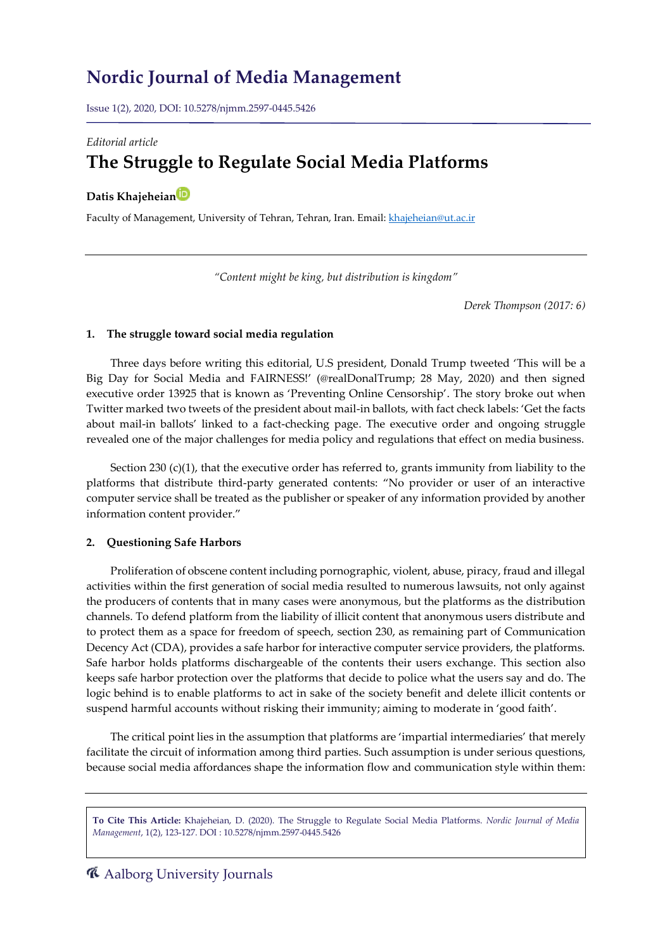# **Nordic Journal of Media Management**

Issue 1(2), 2020, DOI: 10.5278/njmm.2597-0445.5426

### *Editorial article*

# **The Struggle to Regulate Social Media Platforms**

## **Datis Khajeheia[n](https://orcid.org/0000-0001-9913-3732)**

Faculty of Management, University of Tehran, Tehran, Iran. Email: [khajeheian@ut.ac.ir](mailto:khajeheian@ut.ac.ir)

*"Content might be king, but distribution is kingdom"*

*Derek Thompson (2017: 6)*

#### **1. The struggle toward social media regulation**

Three days before writing this editorial, U.S president, Donald Trump tweeted 'This will be a Big Day for Social Media and FAIRNESS!' (@realDonalTrump; 28 May, 2020) and then signed executive order 13925 that is known as 'Preventing Online Censorship'. The story broke out when Twitter marked two tweets of the president about mail-in ballots, with fact check labels: 'Get the facts about mail-in ballots' linked to a fact-checking page. The executive order and ongoing struggle revealed one of the major challenges for media policy and regulations that effect on media business.

Section 230 (c)(1), that the executive order has referred to, grants immunity from liability to the platforms that distribute third-party generated contents: "No provider or user of an interactive computer service shall be treated as the publisher or speaker of any information provided by another information content provider."

#### **2. Questioning Safe Harbors**

Proliferation of obscene content including pornographic, violent, abuse, piracy, fraud and illegal activities within the first generation of social media resulted to numerous lawsuits, not only against the producers of contents that in many cases were anonymous, but the platforms as the distribution channels. To defend platform from the liability of illicit content that anonymous users distribute and to protect them as a space for freedom of speech, section 230, as remaining part of Communication Decency Act (CDA), provides a safe harbor for interactive computer service providers, the platforms. Safe harbor holds platforms dischargeable of the contents their users exchange. This section also keeps safe harbor protection over the platforms that decide to police what the users say and do. The logic behind is to enable platforms to act in sake of the society benefit and delete illicit contents or suspend harmful accounts without risking their immunity; aiming to moderate in 'good faith'.

The critical point lies in the assumption that platforms are 'impartial intermediaries' that merely facilitate the circuit of information among third parties. Such assumption is under serious questions, because social media affordances shape the information flow and communication style within them:

**To Cite This Article:** Khajeheian, D. (2020). The Struggle to Regulate Social Media Platforms. *Nordic Journal of Media Management*, 1(2), 123-127. DOI : 10.5278/njmm.2597-0445.5426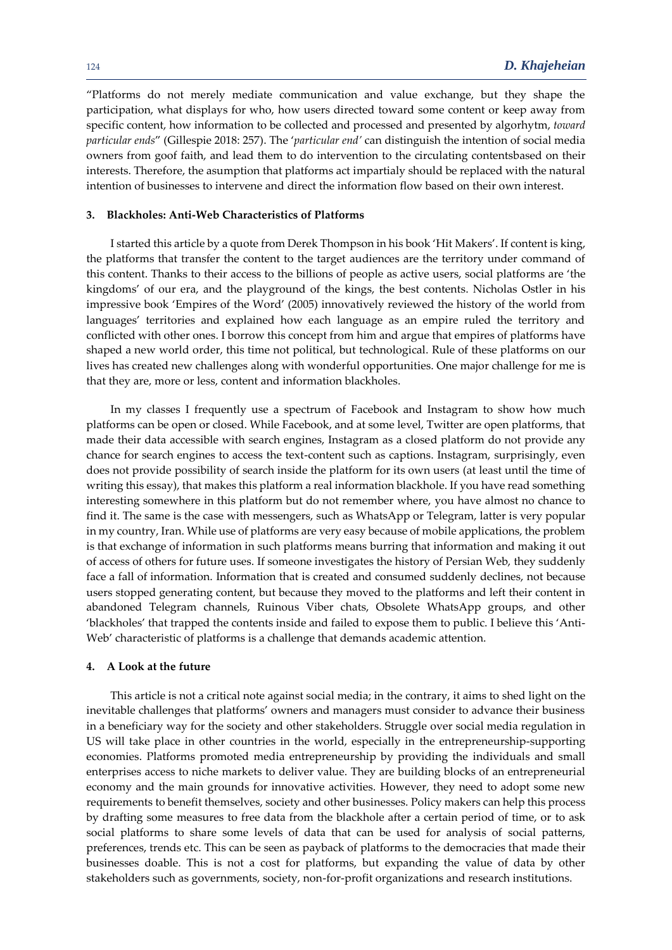"Platforms do not merely mediate communication and value exchange, but they shape the participation, what displays for who, how users directed toward some content or keep away from specific content, how information to be collected and processed and presented by algorhytm, *toward particular ends*" (Gillespie 2018: 257). The '*particular end'* can distinguish the intention of social media owners from goof faith, and lead them to do intervention to the circulating contentsbased on their interests. Therefore, the asumption that platforms act impartialy should be replaced with the natural intention of businesses to intervene and direct the information flow based on their own interest.

#### **3. Blackholes: Anti-Web Characteristics of Platforms**

I started this article by a quote from Derek Thompson in his book 'Hit Makers'. If content is king, the platforms that transfer the content to the target audiences are the territory under command of this content. Thanks to their access to the billions of people as active users, social platforms are 'the kingdoms' of our era, and the playground of the kings, the best contents. Nicholas Ostler in his impressive book 'Empires of the Word' (2005) innovatively reviewed the history of the world from languages' territories and explained how each language as an empire ruled the territory and conflicted with other ones. I borrow this concept from him and argue that empires of platforms have shaped a new world order, this time not political, but technological. Rule of these platforms on our lives has created new challenges along with wonderful opportunities. One major challenge for me is that they are, more or less, content and information blackholes.

In my classes I frequently use a spectrum of Facebook and Instagram to show how much platforms can be open or closed. While Facebook, and at some level, Twitter are open platforms, that made their data accessible with search engines, Instagram as a closed platform do not provide any chance for search engines to access the text-content such as captions. Instagram, surprisingly, even does not provide possibility of search inside the platform for its own users (at least until the time of writing this essay), that makes this platform a real information blackhole. If you have read something interesting somewhere in this platform but do not remember where, you have almost no chance to find it. The same is the case with messengers, such as WhatsApp or Telegram, latter is very popular in my country, Iran. While use of platforms are very easy because of mobile applications, the problem is that exchange of information in such platforms means burring that information and making it out of access of others for future uses. If someone investigates the history of Persian Web, they suddenly face a fall of information. Information that is created and consumed suddenly declines, not because users stopped generating content, but because they moved to the platforms and left their content in abandoned Telegram channels, Ruinous Viber chats, Obsolete WhatsApp groups, and other 'blackholes' that trapped the contents inside and failed to expose them to public. I believe this 'Anti-Web' characteristic of platforms is a challenge that demands academic attention.

#### **4. A Look at the future**

This article is not a critical note against social media; in the contrary, it aims to shed light on the inevitable challenges that platforms' owners and managers must consider to advance their business in a beneficiary way for the society and other stakeholders. Struggle over social media regulation in US will take place in other countries in the world, especially in the entrepreneurship-supporting economies. Platforms promoted media entrepreneurship by providing the individuals and small enterprises access to niche markets to deliver value. They are building blocks of an entrepreneurial economy and the main grounds for innovative activities. However, they need to adopt some new requirements to benefit themselves, society and other businesses. Policy makers can help this process by drafting some measures to free data from the blackhole after a certain period of time, or to ask social platforms to share some levels of data that can be used for analysis of social patterns, preferences, trends etc. This can be seen as payback of platforms to the democracies that made their businesses doable. This is not a cost for platforms, but expanding the value of data by other stakeholders such as governments, society, non-for-profit organizations and research institutions.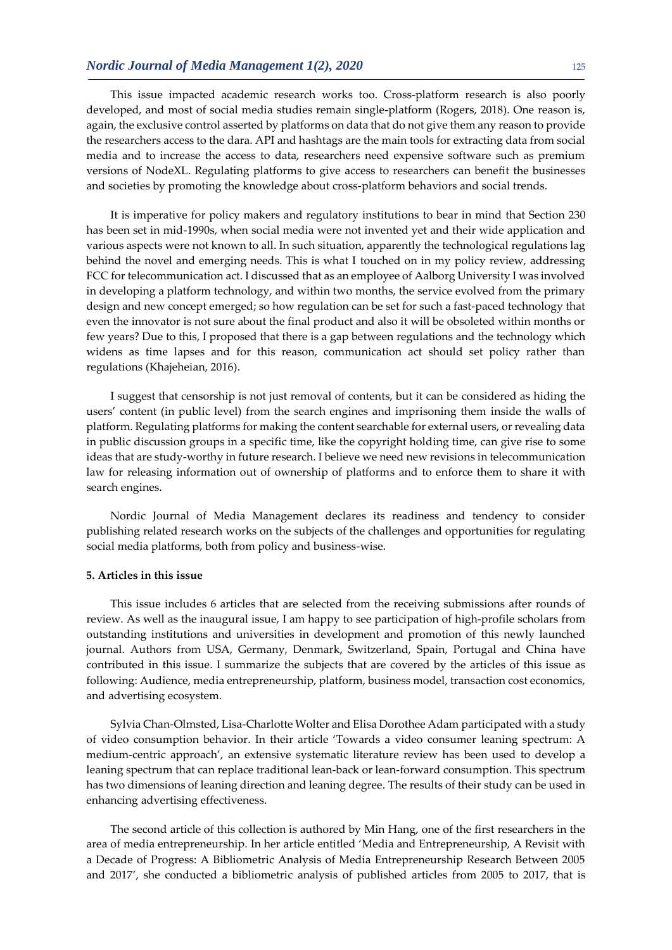This issue impacted academic research works too. Cross-platform research is also poorly developed, and most of social media studies remain single-platform (Rogers, 2018). One reason is, again, the exclusive control asserted by platforms on data that do not give them any reason to provide the researchers access to the dara. API and hashtags are the main tools for extracting data from social media and to increase the access to data, researchers need expensive software such as premium versions of NodeXL. Regulating platforms to give access to researchers can benefit the businesses and societies by promoting the knowledge about cross-platform behaviors and social trends.

It is imperative for policy makers and regulatory institutions to bear in mind that Section 230 has been set in mid-1990s, when social media were not invented yet and their wide application and various aspects were not known to all. In such situation, apparently the technological regulations lag behind the novel and emerging needs. This is what I touched on in my policy review, addressing FCC for telecommunication act. I discussed that as an employee of Aalborg University I was involved in developing a platform technology, and within two months, the service evolved from the primary design and new concept emerged; so how regulation can be set for such a fast-paced technology that even the innovator is not sure about the final product and also it will be obsoleted within months or few years? Due to this, I proposed that there is a gap between regulations and the technology which widens as time lapses and for this reason, communication act should set policy rather than regulations (Khajeheian, 2016).

I suggest that censorship is not just removal of contents, but it can be considered as hiding the users' content (in public level) from the search engines and imprisoning them inside the walls of platform. Regulating platforms for making the content searchable for external users, or revealing data in public discussion groups in a specific time, like the copyright holding time, can give rise to some ideas that are study-worthy in future research. I believe we need new revisions in telecommunication law for releasing information out of ownership of platforms and to enforce them to share it with search engines.

Nordic Journal of Media Management declares its readiness and tendency to consider publishing related research works on the subjects of the challenges and opportunities for regulating social media platforms, both from policy and business-wise.

#### **5. Articles in this issue**

This issue includes 6 articles that are selected from the receiving submissions after rounds of review. As well as the inaugural issue, I am happy to see participation of high-profile scholars from outstanding institutions and universities in development and promotion of this newly launched journal. Authors from USA, Germany, Denmark, Switzerland, Spain, Portugal and China have contributed in this issue. I summarize the subjects that are covered by the articles of this issue as following: Audience, media entrepreneurship, platform, business model, transaction cost economics, and advertising ecosystem.

Sylvia Chan-Olmsted, Lisa-Charlotte Wolter and Elisa Dorothee Adam participated with a study of video consumption behavior. In their article 'Towards a video consumer leaning spectrum: A medium-centric approach', an extensive systematic literature review has been used to develop a leaning spectrum that can replace traditional lean-back or lean-forward consumption. This spectrum has two dimensions of leaning direction and leaning degree. The results of their study can be used in enhancing advertising effectiveness.

The second article of this collection is authored by Min Hang, one of the first researchers in the area of media entrepreneurship. In her article entitled 'Media and Entrepreneurship, A Revisit with a Decade of Progress: A Bibliometric Analysis of Media Entrepreneurship Research Between 2005 and 2017', she conducted a bibliometric analysis of published articles from 2005 to 2017, that is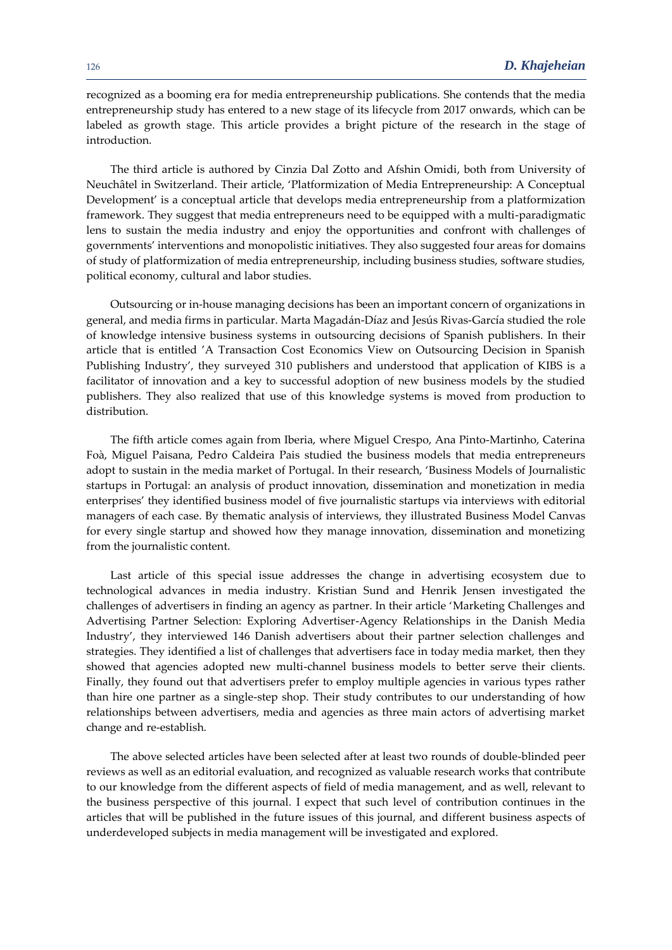recognized as a booming era for media entrepreneurship publications. She contends that the media entrepreneurship study has entered to a new stage of its lifecycle from 2017 onwards, which can be labeled as growth stage. This article provides a bright picture of the research in the stage of introduction.

The third article is authored by Cinzia Dal Zotto and Afshin Omidi, both from University of Neuchâtel in Switzerland. Their article, 'Platformization of Media Entrepreneurship: A Conceptual Development' is a conceptual article that develops media entrepreneurship from a platformization framework. They suggest that media entrepreneurs need to be equipped with a multi-paradigmatic lens to sustain the media industry and enjoy the opportunities and confront with challenges of governments' interventions and monopolistic initiatives. They also suggested four areas for domains of study of platformization of media entrepreneurship, including business studies, software studies, political economy, cultural and labor studies.

Outsourcing or in-house managing decisions has been an important concern of organizations in general, and media firms in particular. Marta Magadán-Díaz and Jesús Rivas-García studied the role of knowledge intensive business systems in outsourcing decisions of Spanish publishers. In their article that is entitled 'A Transaction Cost Economics View on Outsourcing Decision in Spanish Publishing Industry', they surveyed 310 publishers and understood that application of KIBS is a facilitator of innovation and a key to successful adoption of new business models by the studied publishers. They also realized that use of this knowledge systems is moved from production to distribution.

The fifth article comes again from Iberia, where Miguel Crespo, Ana Pinto-Martinho, Caterina Foà, Miguel Paisana, Pedro Caldeira Pais studied the business models that media entrepreneurs adopt to sustain in the media market of Portugal. In their research, 'Business Models of Journalistic startups in Portugal: an analysis of product innovation, dissemination and monetization in media enterprises' they identified business model of five journalistic startups via interviews with editorial managers of each case. By thematic analysis of interviews, they illustrated Business Model Canvas for every single startup and showed how they manage innovation, dissemination and monetizing from the journalistic content.

Last article of this special issue addresses the change in advertising ecosystem due to technological advances in media industry. Kristian Sund and Henrik Jensen investigated the challenges of advertisers in finding an agency as partner. In their article 'Marketing Challenges and Advertising Partner Selection: Exploring Advertiser-Agency Relationships in the Danish Media Industry', they interviewed 146 Danish advertisers about their partner selection challenges and strategies. They identified a list of challenges that advertisers face in today media market, then they showed that agencies adopted new multi-channel business models to better serve their clients. Finally, they found out that advertisers prefer to employ multiple agencies in various types rather than hire one partner as a single-step shop. Their study contributes to our understanding of how relationships between advertisers, media and agencies as three main actors of advertising market change and re-establish.

The above selected articles have been selected after at least two rounds of double-blinded peer reviews as well as an editorial evaluation, and recognized as valuable research works that contribute to our knowledge from the different aspects of field of media management, and as well, relevant to the business perspective of this journal. I expect that such level of contribution continues in the articles that will be published in the future issues of this journal, and different business aspects of underdeveloped subjects in media management will be investigated and explored.